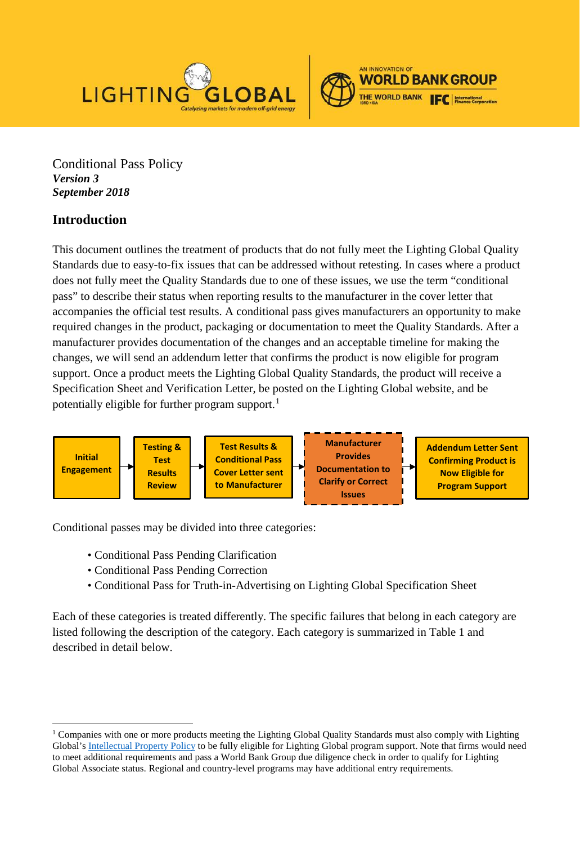



Conditional Pass Policy *Version 3 September 2018* 

# **Introduction**

This document outlines the treatment of products that do not fully meet the Lighting Global Quality Standards due to easy-to-fix issues that can be addressed without retesting. In cases where a product does not fully meet the Quality Standards due to one of these issues, we use the term "conditional pass" to describe their status when reporting results to the manufacturer in the cover letter that accompanies the official test results. A conditional pass gives manufacturers an opportunity to make required changes in the product, packaging or documentation to meet the Quality Standards. After a manufacturer provides documentation of the changes and an acceptable timeline for making the changes, we will send an addendum letter that confirms the product is now eligible for program support. Once a product meets the Lighting Global Quality Standards, the product will receive a Specification Sheet and Verification Letter, be posted on the Lighting Global website, and be potentially eligible for further program support.<sup>[1](#page-0-0)</sup>



Conditional passes may be divided into three categories:

- Conditional Pass Pending Clarification
- Conditional Pass Pending Correction
- Conditional Pass for Truth-in-Advertising on Lighting Global Specification Sheet

Each of these categories is treated differently. The specific failures that belong in each category are listed following the description of the category. Each category is summarized in Table 1 and described in detail below.

<span id="page-0-0"></span><sup>&</sup>lt;sup>1</sup> Companies with one or more products meeting the Lighting Global Quality Standards must also comply with Lighting Global's [Intellectual Property Policy](https://www.lightingglobal.org/resource/intellectual-property-policy-for-product-testing/) to be fully eligible for Lighting Global program support. Note that firms would need to meet additional requirements and pass a World Bank Group due diligence check in order to qualify for Lighting Global Associate status. Regional and country-level programs may have additional entry requirements.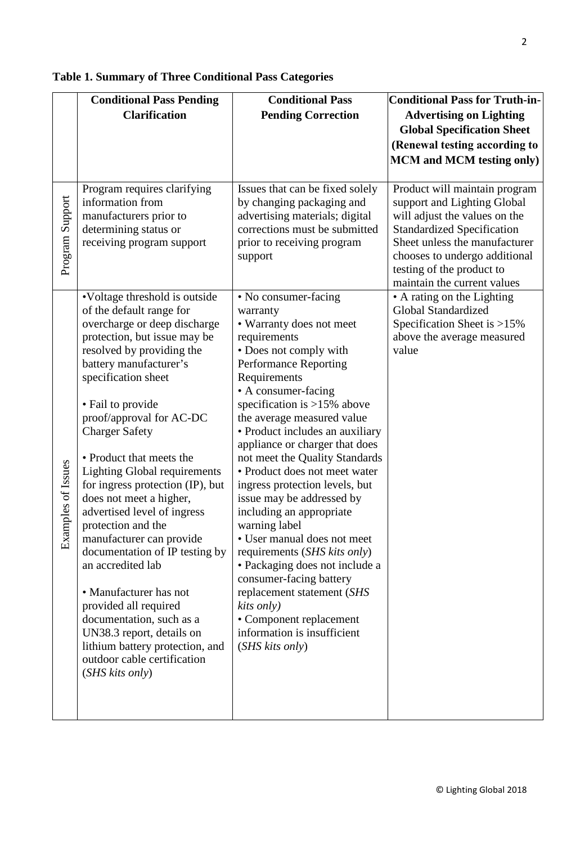|                    | <b>Conditional Pass Pending</b>                             | <b>Conditional Pass</b>                                     | <b>Conditional Pass for Truth-in-</b>             |
|--------------------|-------------------------------------------------------------|-------------------------------------------------------------|---------------------------------------------------|
|                    | <b>Clarification</b>                                        | <b>Pending Correction</b>                                   | <b>Advertising on Lighting</b>                    |
|                    |                                                             |                                                             | <b>Global Specification Sheet</b>                 |
|                    |                                                             |                                                             | (Renewal testing according to                     |
|                    |                                                             |                                                             | <b>MCM</b> and <b>MCM</b> testing only)           |
|                    |                                                             |                                                             |                                                   |
|                    | Program requires clarifying                                 | Issues that can be fixed solely                             | Product will maintain program                     |
|                    | information from                                            | by changing packaging and                                   | support and Lighting Global                       |
|                    | manufacturers prior to                                      | advertising materials; digital                              | will adjust the values on the                     |
|                    | determining status or                                       | corrections must be submitted                               | <b>Standardized Specification</b>                 |
|                    | receiving program support                                   | prior to receiving program                                  | Sheet unless the manufacturer                     |
| Program Support    |                                                             | support                                                     | chooses to undergo additional                     |
|                    |                                                             |                                                             | testing of the product to                         |
|                    |                                                             |                                                             | maintain the current values                       |
|                    | •Voltage threshold is outside                               | • No consumer-facing                                        | • A rating on the Lighting<br>Global Standardized |
|                    | of the default range for<br>overcharge or deep discharge    | warranty<br>• Warranty does not meet                        | Specification Sheet is >15%                       |
|                    | protection, but issue may be                                | requirements                                                | above the average measured                        |
|                    | resolved by providing the                                   | • Does not comply with                                      | value                                             |
|                    | battery manufacturer's                                      | <b>Performance Reporting</b>                                |                                                   |
|                    | specification sheet                                         | Requirements                                                |                                                   |
|                    |                                                             | • A consumer-facing                                         |                                                   |
|                    | • Fail to provide                                           | specification is $>15\%$ above                              |                                                   |
|                    | proof/approval for AC-DC                                    | the average measured value                                  |                                                   |
|                    | <b>Charger Safety</b>                                       | • Product includes an auxiliary                             |                                                   |
|                    |                                                             | appliance or charger that does                              |                                                   |
|                    | • Product that meets the                                    | not meet the Quality Standards                              |                                                   |
| Examples of Issues | <b>Lighting Global requirements</b>                         | • Product does not meet water                               |                                                   |
|                    | for ingress protection (IP), but<br>does not meet a higher, | ingress protection levels, but<br>issue may be addressed by |                                                   |
|                    | advertised level of ingress                                 | including an appropriate                                    |                                                   |
|                    | protection and the                                          | warning label                                               |                                                   |
|                    | manufacturer can provide                                    | • User manual does not meet                                 |                                                   |
|                    | documentation of IP testing by                              | requirements (SHS kits only)                                |                                                   |
|                    | an accredited lab                                           | • Packaging does not include a                              |                                                   |
|                    |                                                             | consumer-facing battery                                     |                                                   |
|                    | • Manufacturer has not                                      | replacement statement (SHS                                  |                                                   |
|                    | provided all required                                       | kits only)                                                  |                                                   |
|                    | documentation, such as a                                    | • Component replacement                                     |                                                   |
|                    | UN38.3 report, details on                                   | information is insufficient                                 |                                                   |
|                    | lithium battery protection, and                             | (SHS kits only)                                             |                                                   |
|                    | outdoor cable certification<br>(SHS kits only)              |                                                             |                                                   |
|                    |                                                             |                                                             |                                                   |
|                    |                                                             |                                                             |                                                   |
|                    |                                                             |                                                             |                                                   |

# **Table 1. Summary of Three Conditional Pass Categories**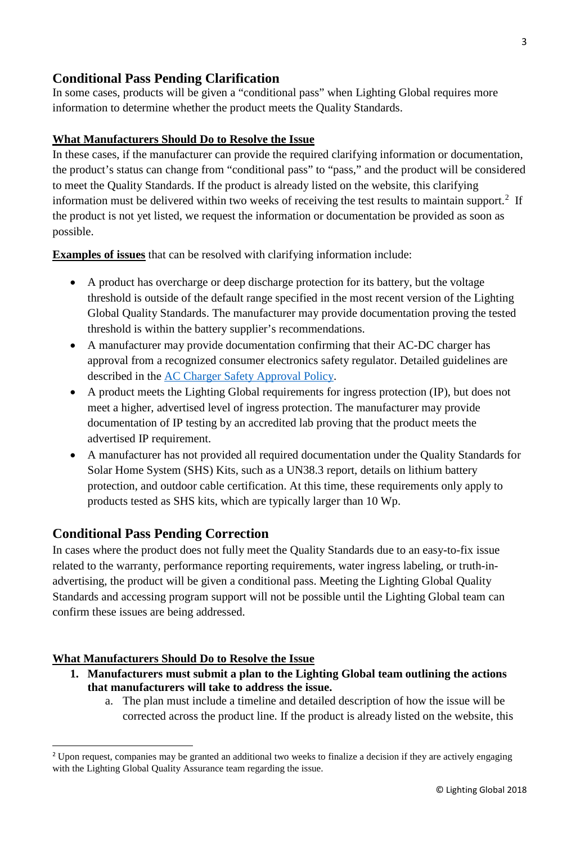## **Conditional Pass Pending Clarification**

In some cases, products will be given a "conditional pass" when Lighting Global requires more information to determine whether the product meets the Quality Standards.

### **What Manufacturers Should Do to Resolve the Issue**

In these cases, if the manufacturer can provide the required clarifying information or documentation, the product's status can change from "conditional pass" to "pass," and the product will be considered to meet the Quality Standards. If the product is already listed on the website, this clarifying information must be delivered within two weeks of receiving the test results to maintain support.<sup>[2](#page-2-0)</sup> If the product is not yet listed, we request the information or documentation be provided as soon as possible.

**Examples of issues** that can be resolved with clarifying information include:

- A product has overcharge or deep discharge protection for its battery, but the voltage threshold is outside of the default range specified in the most recent version of the Lighting Global Quality Standards. The manufacturer may provide documentation proving the tested threshold is within the battery supplier's recommendations.
- A manufacturer may provide documentation confirming that their AC-DC charger has approval from a recognized consumer electronics safety regulator. Detailed guidelines are described in the [AC Charger Safety Approval Policy.](https://www.lightingglobal.org/resource/ac-charger-safety-approval-policy/)
- A product meets the Lighting Global requirements for ingress protection (IP), but does not meet a higher, advertised level of ingress protection. The manufacturer may provide documentation of IP testing by an accredited lab proving that the product meets the advertised IP requirement.
- A manufacturer has not provided all required documentation under the Quality Standards for Solar Home System (SHS) Kits, such as a UN38.3 report, details on lithium battery protection, and outdoor cable certification. At this time, these requirements only apply to products tested as SHS kits, which are typically larger than 10 Wp.

### **Conditional Pass Pending Correction**

In cases where the product does not fully meet the Quality Standards due to an easy-to-fix issue related to the warranty, performance reporting requirements, water ingress labeling, or truth-inadvertising, the product will be given a conditional pass. Meeting the Lighting Global Quality Standards and accessing program support will not be possible until the Lighting Global team can confirm these issues are being addressed.

#### **What Manufacturers Should Do to Resolve the Issue**

- **1. Manufacturers must submit a plan to the Lighting Global team outlining the actions that manufacturers will take to address the issue.**
	- a. The plan must include a timeline and detailed description of how the issue will be corrected across the product line. If the product is already listed on the website, this

<span id="page-2-0"></span><sup>2</sup> Upon request, companies may be granted an additional two weeks to finalize a decision if they are actively engaging with the Lighting Global Quality Assurance team regarding the issue.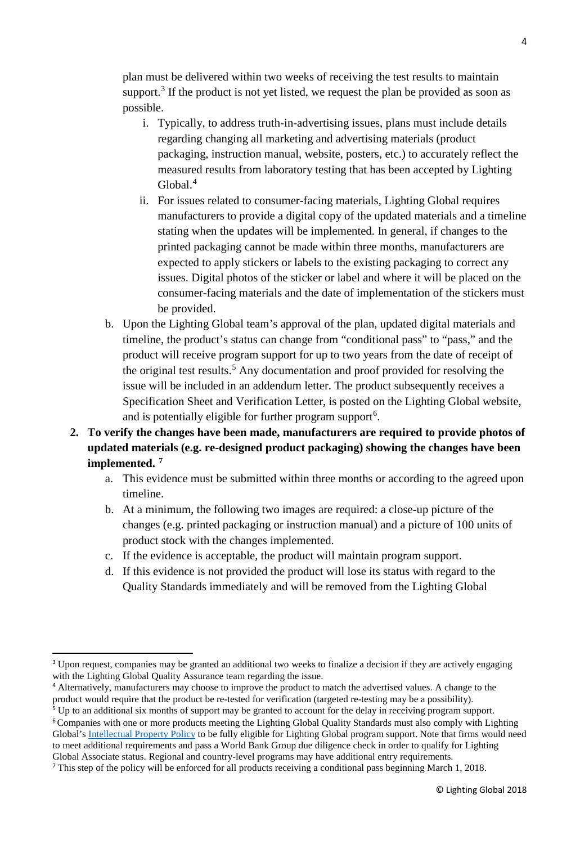plan must be delivered within two weeks of receiving the test results to maintain support.<sup>[3](#page-3-0)</sup> If the product is not yet listed, we request the plan be provided as soon as possible.

- i. Typically, to address truth-in-advertising issues, plans must include details regarding changing all marketing and advertising materials (product packaging, instruction manual, website, posters, etc.) to accurately reflect the measured results from laboratory testing that has been accepted by Lighting Global.[4](#page-3-1)
- ii. For issues related to consumer-facing materials, Lighting Global requires manufacturers to provide a digital copy of the updated materials and a timeline stating when the updates will be implemented. In general, if changes to the printed packaging cannot be made within three months, manufacturers are expected to apply stickers or labels to the existing packaging to correct any issues. Digital photos of the sticker or label and where it will be placed on the consumer-facing materials and the date of implementation of the stickers must be provided.
- b. Upon the Lighting Global team's approval of the plan, updated digital materials and timeline, the product's status can change from "conditional pass" to "pass," and the product will receive program support for up to two years from the date of receipt of the original test results.<sup>[5](#page-3-2)</sup> Any documentation and proof provided for resolving the issue will be included in an addendum letter. The product subsequently receives a Specification Sheet and Verification Letter, is posted on the Lighting Global website, and is potentially eligible for further program support<sup>[6](#page-3-3)</sup>.
- **2. To verify the changes have been made, manufacturers are required to provide photos of updated materials (e.g. re-designed product packaging) showing the changes have been implemented. [7](#page-3-4)**
	- a. This evidence must be submitted within three months or according to the agreed upon timeline.
	- b. At a minimum, the following two images are required: a close-up picture of the changes (e.g. printed packaging or instruction manual) and a picture of 100 units of product stock with the changes implemented.
	- c. If the evidence is acceptable, the product will maintain program support.
	- d. If this evidence is not provided the product will lose its status with regard to the Quality Standards immediately and will be removed from the Lighting Global

<span id="page-3-0"></span><sup>&</sup>lt;sup>3</sup> Upon request, companies may be granted an additional two weeks to finalize a decision if they are actively engaging with the Lighting Global Quality Assurance team regarding the issue.

<span id="page-3-1"></span><sup>4</sup> Alternatively, manufacturers may choose to improve the product to match the advertised values. A change to the product would require that the product be re-tested for verification (targeted re-testing may be a possibility).

<span id="page-3-3"></span><span id="page-3-2"></span><sup>5</sup> Up to an additional six months of support may be granted to account for the delay in receiving program support. <sup>6</sup>Companies with one or more products meeting the Lighting Global Quality Standards must also comply with Lighting Global's [Intellectual Property Policy](https://www.lightingglobal.org/resource/intellectual-property-policy-for-product-testing/) to be fully eligible for Lighting Global program support. Note that firms would need to meet additional requirements and pass a World Bank Group due diligence check in order to qualify for Lighting Global Associate status. Regional and country-level programs may have additional entry requirements.

<span id="page-3-4"></span><sup>7</sup> This step of the policy will be enforced for all products receiving a conditional pass beginning March 1, 2018.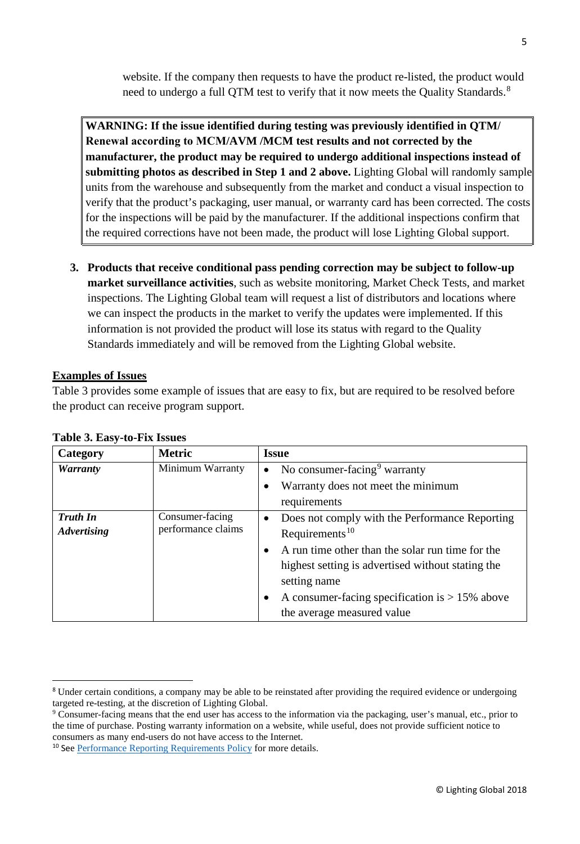website. If the company then requests to have the product re-listed, the product would need to undergo a full QTM test to verify that it now meets the Quality Standards.<sup>[8](#page-4-0)</sup>

**WARNING: If the issue identified during testing was previously identified in QTM/ Renewal according to MCM/AVM /MCM test results and not corrected by the manufacturer, the product may be required to undergo additional inspections instead of submitting photos as described in Step 1 and 2 above.** Lighting Global will randomly sample units from the warehouse and subsequently from the market and conduct a visual inspection to verify that the product's packaging, user manual, or warranty card has been corrected. The costs for the inspections will be paid by the manufacturer. If the additional inspections confirm that the required corrections have not been made, the product will lose Lighting Global support.

**3. Products that receive conditional pass pending correction may be subject to follow-up market surveillance activities**, such as website monitoring, Market Check Tests, and market inspections. The Lighting Global team will request a list of distributors and locations where we can inspect the products in the market to verify the updates were implemented. If this information is not provided the product will lose its status with regard to the Quality Standards immediately and will be removed from the Lighting Global website.

#### **Examples of Issues**

Table 3 provides some example of issues that are easy to fix, but are required to be resolved before the product can receive program support.

| Category                           | <b>Metric</b>      | <b>Issue</b>                                                |
|------------------------------------|--------------------|-------------------------------------------------------------|
| <b>Warranty</b>                    | Minimum Warranty   | No consumer-facing <sup>9</sup> warranty<br>$\bullet$       |
|                                    |                    | Warranty does not meet the minimum                          |
|                                    |                    | requirements                                                |
| Consumer-facing<br><b>Truth In</b> |                    | Does not comply with the Performance Reporting<br>$\bullet$ |
| <b>Advertising</b>                 | performance claims | Requirements <sup>10</sup>                                  |
|                                    |                    | A run time other than the solar run time for the            |
|                                    |                    | highest setting is advertised without stating the           |
|                                    |                    | setting name                                                |
|                                    |                    | A consumer-facing specification is $> 15\%$ above           |
|                                    |                    | the average measured value                                  |

#### **Table 3. Easy-to-Fix Issues**

<span id="page-4-0"></span><sup>&</sup>lt;sup>8</sup> Under certain conditions, a company may be able to be reinstated after providing the required evidence or undergoing targeted re-testing, at the discretion of Lighting Global.

<span id="page-4-1"></span><sup>9</sup> Consumer-facing means that the end user has access to the information via the packaging, user's manual, etc., prior to the time of purchase. Posting warranty information on a website, while useful, does not provide sufficient notice to consumers as many end-users do not have access to the Internet.

<span id="page-4-2"></span><sup>&</sup>lt;sup>10</sup> See [Performance Reporting Requirements Policy](https://www.lightingglobal.org/resource/performance-reporting-requirements/) for more details.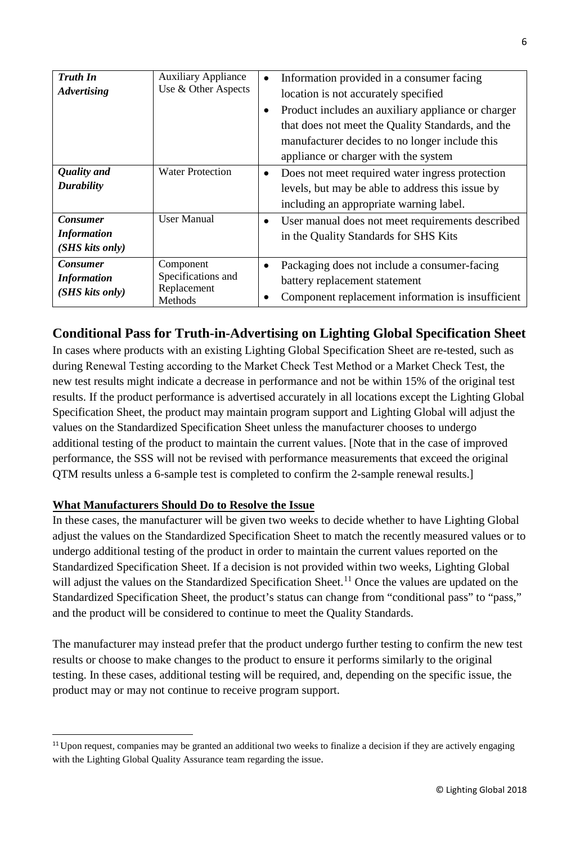| <b>Truth In</b><br><b>Advertising</b><br><b>Quality</b> and | <b>Auxiliary Appliance</b><br>Use & Other Aspects<br><b>Water Protection</b> | $\bullet$ | Information provided in a consumer facing<br>location is not accurately specified<br>Product includes an auxiliary appliance or charger<br>that does not meet the Quality Standards, and the<br>manufacturer decides to no longer include this<br>appliance or charger with the system |
|-------------------------------------------------------------|------------------------------------------------------------------------------|-----------|----------------------------------------------------------------------------------------------------------------------------------------------------------------------------------------------------------------------------------------------------------------------------------------|
| <b>Durability</b>                                           |                                                                              | $\bullet$ | Does not meet required water ingress protection<br>levels, but may be able to address this issue by<br>including an appropriate warning label.                                                                                                                                         |
| <b>Consumer</b><br><b>Information</b><br>(SHS kits only)    | <b>User Manual</b>                                                           | $\bullet$ | User manual does not meet requirements described<br>in the Quality Standards for SHS Kits                                                                                                                                                                                              |
| <b>Consumer</b><br><b>Information</b><br>(SHS kits only)    | Component<br>Specifications and<br>Replacement<br>Methods                    | $\bullet$ | Packaging does not include a consumer-facing<br>battery replacement statement<br>Component replacement information is insufficient                                                                                                                                                     |

## **Conditional Pass for Truth-in-Advertising on Lighting Global Specification Sheet**

In cases where products with an existing Lighting Global Specification Sheet are re-tested, such as during Renewal Testing according to the Market Check Test Method or a Market Check Test, the new test results might indicate a decrease in performance and not be within 15% of the original test results. If the product performance is advertised accurately in all locations except the Lighting Global Specification Sheet, the product may maintain program support and Lighting Global will adjust the values on the Standardized Specification Sheet unless the manufacturer chooses to undergo additional testing of the product to maintain the current values. [Note that in the case of improved performance, the SSS will not be revised with performance measurements that exceed the original QTM results unless a 6-sample test is completed to confirm the 2-sample renewal results.]

#### **What Manufacturers Should Do to Resolve the Issue**

In these cases, the manufacturer will be given two weeks to decide whether to have Lighting Global adjust the values on the Standardized Specification Sheet to match the recently measured values or to undergo additional testing of the product in order to maintain the current values reported on the Standardized Specification Sheet. If a decision is not provided within two weeks, Lighting Global will adjust the values on the Standardized Specification Sheet.<sup>[11](#page-5-0)</sup> Once the values are updated on the Standardized Specification Sheet, the product's status can change from "conditional pass" to "pass," and the product will be considered to continue to meet the Quality Standards.

The manufacturer may instead prefer that the product undergo further testing to confirm the new test results or choose to make changes to the product to ensure it performs similarly to the original testing. In these cases, additional testing will be required, and, depending on the specific issue, the product may or may not continue to receive program support.

<span id="page-5-0"></span> $11$  Upon request, companies may be granted an additional two weeks to finalize a decision if they are actively engaging with the Lighting Global Quality Assurance team regarding the issue.